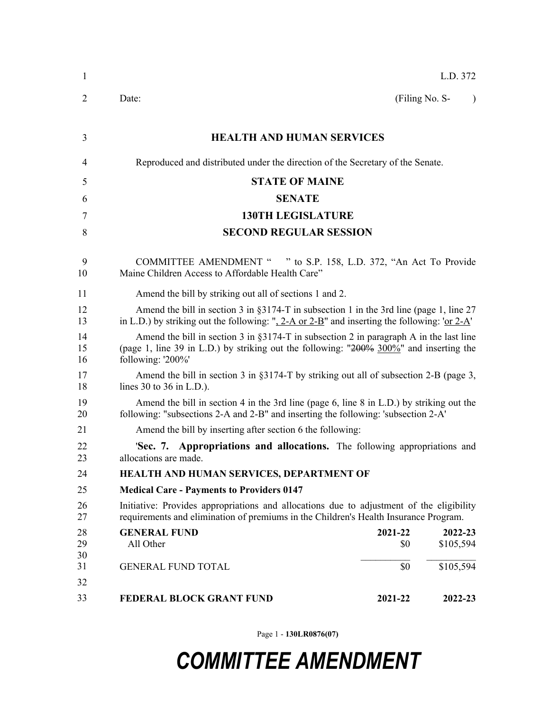| 1              |                                                                                                                                                                                                            |                | L.D. 372             |
|----------------|------------------------------------------------------------------------------------------------------------------------------------------------------------------------------------------------------------|----------------|----------------------|
| $\overline{2}$ | Date:                                                                                                                                                                                                      | (Filing No. S- | $\lambda$            |
| 3              | <b>HEALTH AND HUMAN SERVICES</b>                                                                                                                                                                           |                |                      |
| 4              | Reproduced and distributed under the direction of the Secretary of the Senate.                                                                                                                             |                |                      |
| 5              | <b>STATE OF MAINE</b>                                                                                                                                                                                      |                |                      |
| 6              | <b>SENATE</b>                                                                                                                                                                                              |                |                      |
| 7              | <b>130TH LEGISLATURE</b>                                                                                                                                                                                   |                |                      |
| 8              | <b>SECOND REGULAR SESSION</b>                                                                                                                                                                              |                |                      |
| 9<br>10        | COMMITTEE AMENDMENT " " to S.P. 158, L.D. 372, "An Act To Provide<br>Maine Children Access to Affordable Health Care"                                                                                      |                |                      |
| 11             | Amend the bill by striking out all of sections 1 and 2.                                                                                                                                                    |                |                      |
| 12<br>13       | Amend the bill in section 3 in §3174-T in subsection 1 in the 3rd line (page 1, line 27<br>in L.D.) by striking out the following: ", 2-A or 2-B" and inserting the following: 'or $2-A'$ '                |                |                      |
| 14<br>15<br>16 | Amend the bill in section 3 in $\S 3174$ -T in subsection 2 in paragraph A in the last line<br>(page 1, line 39 in L.D.) by striking out the following: "200% 300%" and inserting the<br>following: '200%' |                |                      |
| 17<br>18       | Amend the bill in section 3 in $\S 3174$ -T by striking out all of subsection 2-B (page 3,<br>lines 30 to 36 in $L.D.$ ).                                                                                  |                |                      |
| 19<br>20       | Amend the bill in section 4 in the 3rd line (page 6, line 8 in L.D.) by striking out the<br>following: "subsections 2-A and 2-B" and inserting the following: 'subsection 2-A'                             |                |                      |
| 21             | Amend the bill by inserting after section 6 the following:                                                                                                                                                 |                |                      |
| 22<br>23       | 'Sec. 7. Appropriations and allocations. The following appropriations and<br>allocations are made.                                                                                                         |                |                      |
| 24             | HEALTH AND HUMAN SERVICES, DEPARTMENT OF                                                                                                                                                                   |                |                      |
| 25             | <b>Medical Care - Payments to Providers 0147</b>                                                                                                                                                           |                |                      |
| 26<br>27       | Initiative: Provides appropriations and allocations due to adjustment of the eligibility<br>requirements and elimination of premiums in the Children's Health Insurance Program.                           |                |                      |
| 28<br>29<br>30 | <b>GENERAL FUND</b><br>All Other                                                                                                                                                                           | 2021-22<br>\$0 | 2022-23<br>\$105,594 |
| 31             | <b>GENERAL FUND TOTAL</b>                                                                                                                                                                                  | \$0            | \$105,594            |
| 32             |                                                                                                                                                                                                            |                |                      |
| 33             | <b>FEDERAL BLOCK GRANT FUND</b>                                                                                                                                                                            | 2021-22        | 2022-23              |

Page 1 - **130LR0876(07)**

## *COMMITTEE AMENDMENT*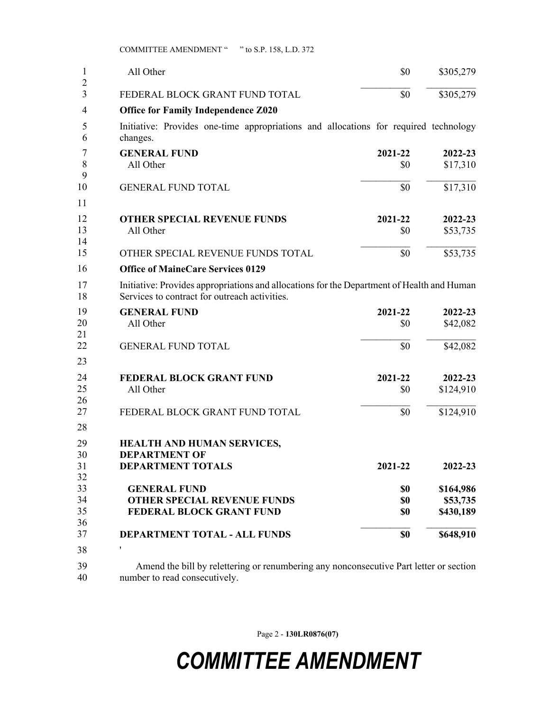COMMITTEE AMENDMENT " " to S.P. 158, L.D. 372

| 1                   | All Other                                                                                                                                   | \$0               | \$305,279                          |  |
|---------------------|---------------------------------------------------------------------------------------------------------------------------------------------|-------------------|------------------------------------|--|
| $\overline{2}$<br>3 | FEDERAL BLOCK GRANT FUND TOTAL                                                                                                              | \$0               | \$305,279                          |  |
| 4                   | <b>Office for Family Independence Z020</b>                                                                                                  |                   |                                    |  |
| 5<br>6              | Initiative: Provides one-time appropriations and allocations for required technology<br>changes.                                            |                   |                                    |  |
| 7<br>8<br>9         | <b>GENERAL FUND</b><br>All Other                                                                                                            | 2021-22<br>\$0    | 2022-23<br>\$17,310                |  |
| 10                  | <b>GENERAL FUND TOTAL</b>                                                                                                                   | \$0               | \$17,310                           |  |
| 11                  |                                                                                                                                             |                   |                                    |  |
| 12<br>13<br>14      | <b>OTHER SPECIAL REVENUE FUNDS</b><br>All Other                                                                                             | 2021-22<br>\$0    | 2022-23<br>\$53,735                |  |
| 15                  | OTHER SPECIAL REVENUE FUNDS TOTAL                                                                                                           | \$0               | \$53,735                           |  |
| 16                  | <b>Office of MaineCare Services 0129</b>                                                                                                    |                   |                                    |  |
| 17<br>18            | Initiative: Provides appropriations and allocations for the Department of Health and Human<br>Services to contract for outreach activities. |                   |                                    |  |
| 19<br>20<br>21      | <b>GENERAL FUND</b><br>All Other                                                                                                            | 2021-22<br>\$0    | 2022-23<br>\$42,082                |  |
| 22                  | <b>GENERAL FUND TOTAL</b>                                                                                                                   | \$0               | \$42,082                           |  |
| 23                  |                                                                                                                                             |                   |                                    |  |
| 24<br>25<br>26      | <b>FEDERAL BLOCK GRANT FUND</b><br>All Other                                                                                                | 2021-22<br>\$0    | 2022-23<br>\$124,910               |  |
| 27                  | FEDERAL BLOCK GRANT FUND TOTAL                                                                                                              | \$0               | \$124,910                          |  |
| 28<br>29<br>30      | HEALTH AND HUMAN SERVICES,<br><b>DEPARTMENT OF</b>                                                                                          |                   |                                    |  |
| 31<br>32            | <b>DEPARTMENT TOTALS</b>                                                                                                                    | 2021-22           | 2022-23                            |  |
| 33<br>34<br>35      | <b>GENERAL FUND</b><br><b>OTHER SPECIAL REVENUE FUNDS</b><br>FEDERAL BLOCK GRANT FUND                                                       | \$0<br>\$0<br>\$0 | \$164,986<br>\$53,735<br>\$430,189 |  |
| 36<br>37            | DEPARTMENT TOTAL - ALL FUNDS                                                                                                                | \$0               | \$648,910                          |  |
| 38                  | $\pmb{\mathsf{r}}$                                                                                                                          |                   |                                    |  |
| 39<br>40            | Amend the bill by relettering or renumbering any nonconsecutive Part letter or section<br>number to read consecutively.                     |                   |                                    |  |

Page 2 - **130LR0876(07)**

## *COMMITTEE AMENDMENT*